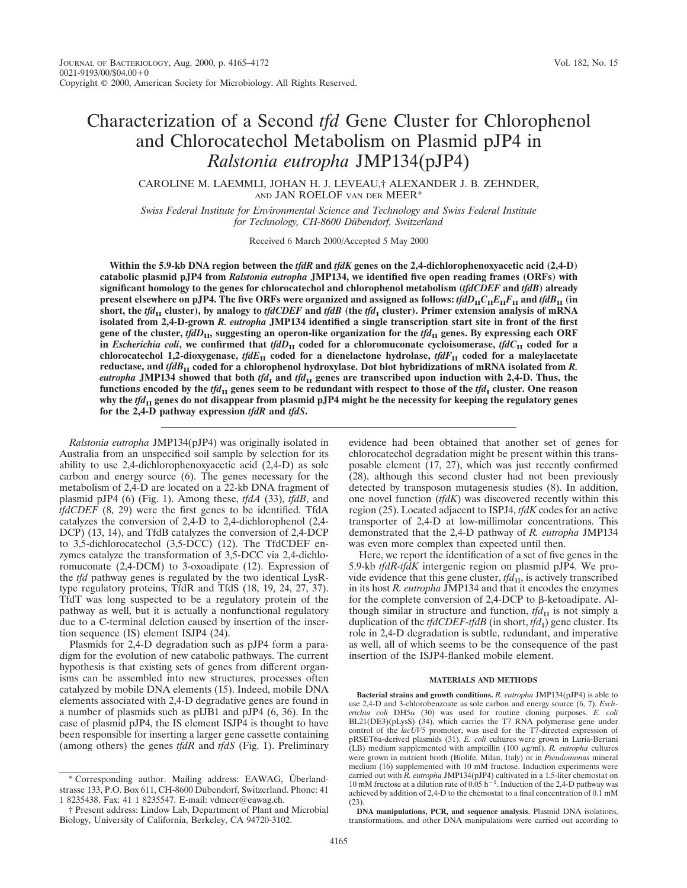CAROLINE M. LAEMMLI, JOHAN H. J. LEVEAU,† ALEXANDER J. B. ZEHNDER, AND JAN ROELOF VAN DER MEER\*

*Swiss Federal Institute for Environmental Science and Technology and Swiss Federal Institute* for Technology, CH-8600 Dübendorf, Switzerland

Received 6 March 2000/Accepted 5 May 2000

**Within the 5.9-kb DNA region between the** *tfdR* **and** *tfdK* **genes on the 2,4-dichlorophenoxyacetic acid (2,4-D) catabolic plasmid pJP4 from** *Ralstonia eutropha* **JMP134, we identified five open reading frames (ORFs) with significant homology to the genes for chlorocatechol and chlorophenol metabolism (***tfdCDEF* **and** *tfdB***) already present elsewhere on pJP4. The five ORFs were organized and assigned as follows:**  $tfdD_{\text{II}}C_{\text{II}}E_{\text{II}}F_{\text{II}}$  **and**  $tfdB_{\text{II}}$  **(in** short, the *tfd*<sub>II</sub> cluster), by analogy to *tfdCDEF* and *tfdB* (the *tfd*<sub>I</sub> cluster). Primer extension analysis of mRNA **isolated from 2,4-D-grown** *R. eutropha* **JMP134 identified a single transcription start site in front of the first** gene of the cluster,  $tfdD_{II}$ , suggesting an operon-like organization for the  $tfd_{II}$  genes. By expressing each ORF in *Escherichia coli*, we confirmed that  $tfdD<sub>H</sub>$  coded for a chloromuconate cycloisomerase,  $tfdC<sub>H</sub>$  coded for a **chlorocatechol 1,2-dioxygenase,**  $tfdE_{II}$  coded for a dienelactone hydrolase,  $tfdF_{II}$  coded for a maleylacetate **reductase, and** *tfdB***II coded for a chlorophenol hydroxylase. Dot blot hybridizations of mRNA isolated from** *R. eutropha* JMP134 showed that both  $tfd<sub>I</sub>$  and  $tfd<sub>II</sub>$  genes are transcribed upon induction with 2,4-D. Thus, the **functions encoded by the**  $tfd_{\text{II}}$  **genes seem to be redundant with respect to those of the**  $tfd_{\text{I}}$  **cluster. One reason** why the *tfd*<sub>II</sub> genes do not disappear from plasmid pJP4 might be the necessity for keeping the regulatory genes **for the 2,4-D pathway expression** *tfdR* **and** *tfdS***.**

*Ralstonia eutropha* JMP134(pJP4) was originally isolated in Australia from an unspecified soil sample by selection for its ability to use 2,4-dichlorophenoxyacetic acid (2,4-D) as sole carbon and energy source (6). The genes necessary for the metabolism of 2,4-D are located on a 22-kb DNA fragment of plasmid pJP4 (6) (Fig. 1). Among these, *tfdA* (33), *tfdB*, and *tfdCDEF* (8, 29) were the first genes to be identified. TfdA catalyzes the conversion of 2,4-D to 2,4-dichlorophenol (2,4- DCP) (13, 14), and TfdB catalyzes the conversion of 2,4-DCP to 3,5-dichlorocatechol (3,5-DCC) (12). The TfdCDEF enzymes catalyze the transformation of 3,5-DCC via 2,4-dichloromuconate (2,4-DCM) to 3-oxoadipate (12). Expression of the *tfd* pathway genes is regulated by the two identical LysRtype regulatory proteins, TfdR and TfdS (18, 19, 24, 27, 37). TfdT was long suspected to be a regulatory protein of the pathway as well, but it is actually a nonfunctional regulatory due to a C-terminal deletion caused by insertion of the insertion sequence (IS) element ISJP4 (24).

Plasmids for 2,4-D degradation such as pJP4 form a paradigm for the evolution of new catabolic pathways. The current hypothesis is that existing sets of genes from different organisms can be assembled into new structures, processes often catalyzed by mobile DNA elements (15). Indeed, mobile DNA elements associated with 2,4-D degradative genes are found in a number of plasmids such as pIJB1 and pJP4 (6, 36). In the case of plasmid pJP4, the IS element ISJP4 is thought to have been responsible for inserting a larger gene cassette containing (among others) the genes *tfdR* and *tfdS* (Fig. 1). Preliminary

\* Corresponding author. Mailing address: EAWAG, Überlandstrasse 133, P.O. Box 611, CH-8600 Dübendorf, Switzerland. Phone: 41 1 8235438. Fax: 41 1 8235547. E-mail: vdmeer@eawag.ch.

evidence had been obtained that another set of genes for chlorocatechol degradation might be present within this transposable element (17, 27), which was just recently confirmed (28), although this second cluster had not been previously detected by transposon mutagenesis studies (8). In addition, one novel function (*tfdK*) was discovered recently within this region (25). Located adjacent to ISPJ4, *tfdK* codes for an active transporter of 2,4-D at low-millimolar concentrations. This demonstrated that the 2,4-D pathway of *R. eutropha* JMP134 was even more complex than expected until then.

Here, we report the identification of a set of five genes in the 5.9-kb *tfdR-tfdK* intergenic region on plasmid pJP4. We provide evidence that this gene cluster,  $tfd_{\text{II}}$ , is actively transcribed in its host *R. eutropha* JMP134 and that it encodes the enzymes for the complete conversion of  $2,4$ -DCP to  $\beta$ -ketoadipate. Although similar in structure and function,  $tfd<sub>II</sub>$  is not simply a duplication of the  $tfdCDEF-fdB$  (in short,  $tfd<sub>1</sub>$ ) gene cluster. Its role in 2,4-D degradation is subtle, redundant, and imperative as well, all of which seems to be the consequence of the past insertion of the ISJP4-flanked mobile element.

## **MATERIALS AND METHODS**

**Bacterial strains and growth conditions.** *R. eutropha* JMP134(pJP4) is able to use 2,4-D and 3-chlorobenzoate as sole carbon and energy source (6, 7). *Escherichia coli* DH5a (30) was used for routine cloning purposes. *E. coli* BL21(DE3)(pLysS) (34), which carries the T7 RNA polymerase gene under control of the *lacUV5* promoter, was used for the T7-directed expression of pRSET6a-derived plasmids (31). *E. coli* cultures were grown in Luria-Bertani (LB) medium supplemented with ampicillin (100 mg/ml). *R. eutropha* cultures were grown in nutrient broth (Biolife, Milan, Italy) or in *Pseudomonas* mineral medium (16) supplemented with 10 mM fructose. Induction experiments were carried out with *R. eutropha* JMP134(pJP4) cultivated in a 1.5-liter chemostat on 10 mM fructose at a dilution rate of 0.05 h<sup>-1</sup>. Induction of the 2,4-D pathway was achieved by addition of 2,4-D to the chemostat to a final concentration of 0.1 mM (23).

**DNA manipulations, PCR, and sequence analysis.** Plasmid DNA isolations, transformations, and other DNA manipulations were carried out according to

<sup>†</sup> Present address: Lindow Lab, Department of Plant and Microbial Biology, University of California, Berkeley, CA 94720-3102.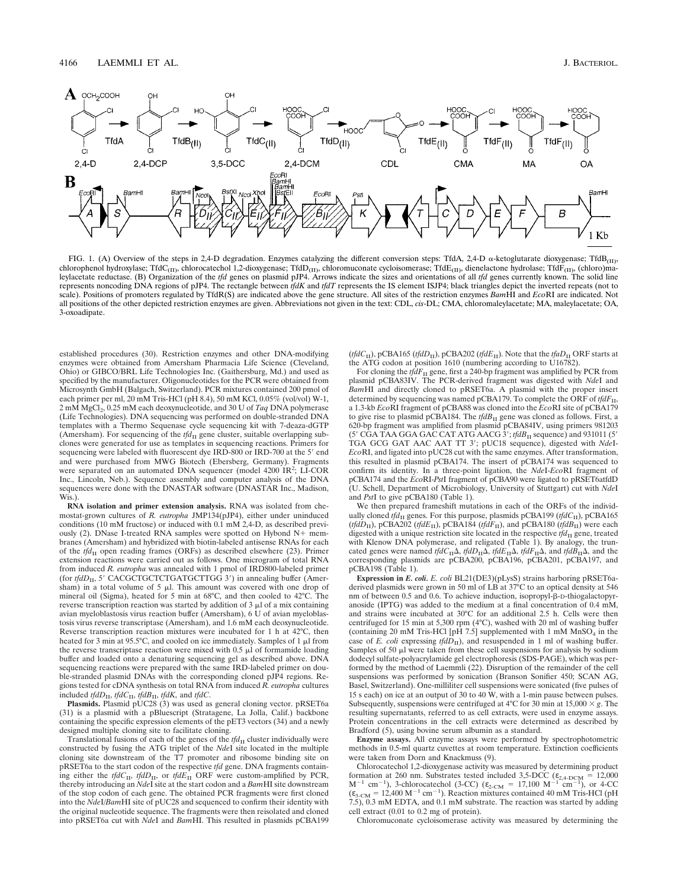

FIG. 1. (A) Overview of the steps in 2,4-D degradation. Enzymes catalyzing the different conversion steps: TfdA, 2,4-D  $\alpha$ -ketoglutarate dioxygenase; TfdB<sub>(II)</sub>, chlorophenol hydroxylase; TfdC<sub>(II)</sub>, chlorocatechol 1,2-dioxygenase; TfdD<sub>(II)</sub>, chloromuconate cycloisomerase; TfdE<sub>(II)</sub>, dienelactone hydrolase; TfdF<sub>(II)</sub>, (chloro)ma-<br>leylacetate reductase. (B) Organization of the represents noncoding DNA regions of pJP4. The rectangle between *tfdK* and *tfdT* represents the IS element ISJP4; black triangles depict the inverted repeats (not to scale). Positions of promoters regulated by TfdR(S) are indicated above the gene structure. All sites of the restriction enzymes *Bam*HI and *Eco*RI are indicated. Not all positions of the other depicted restriction enzymes are given. Abbreviations not given in the text: CDL, *cis*-DL; CMA, chloromaleylacetate; MA, maleylacetate; OA, 3-oxoadipate.

established procedures (30). Restriction enzymes and other DNA-modifying enzymes were obtained from Amersham Pharmacia Life Science (Cleveland, Ohio) or GIBCO/BRL Life Technologies Inc. (Gaithersburg, Md.) and used as specified by the manufacturer. Oligonucleotides for the PCR were obtained from Microsynth GmbH (Balgach, Switzerland). PCR mixtures contained 200 pmol of each primer per ml, 20 mM Tris-HCl (pH 8.4), 50 mM KCl, 0.05% (vol/vol) W-1, 2 mM MgCl2, 0.25 mM each deoxynucleotide, and 30 U of *Taq* DNA polymerase (Life Technologies). DNA sequencing was performed on double-stranded DNA templates with a Thermo Sequenase cycle sequencing kit with 7-deaza-dGTP (Amersham). For sequencing of the  $tfd<sub>II</sub>$  gene cluster, suitable overlapping subclones were generated for use as templates in sequencing reactions. Primers for sequencing were labeled with fluorescent dye IRD-800 or IRD-700 at the 5' end and were purchased from MWG Biotech (Ebersberg, Germany). Fragments were separated on an automated DNA sequencer (model 4200 IR<sup>2</sup>; LI-COR Inc., Lincoln, Neb.). Sequence assembly and computer analysis of the DNA sequences were done with the DNASTAR software (DNASTAR Inc., Madison, Wis.)

**RNA isolation and primer extension analysis.** RNA was isolated from chemostat-grown cultures of *R. eutropha* JMP134(pJP4), either under uninduced conditions (10 mM fructose) or induced with 0.1 mM 2,4-D, as described previously (2). DNase I-treated RNA samples were spotted on Hybond  $N^+$  membranes (Amersham) and hybridized with biotin-labeled antisense RNAs for each of the  $tfd<sub>II</sub>$  open reading frames (ORFs) as described elsewhere (23). Primer extension reactions were carried out as follows. One microgram of total RNA from induced *R. eutropha* was annealed with 1 pmol of IRD800-labeled primer (for *tfdD*<sub>II</sub>, 5' CACGCTGCTCTGATGCTTGG 3') in annealing buffer (Amersham) in a total volume of  $5 \mu l$ . This amount was covered with one drop of mineral oil (Sigma), heated for 5 min at 68°C, and then cooled to 42°C. The reverse transcription reaction was started by addition of  $3 \mu$ l of a mix containing avian myeloblastosis virus reaction buffer (Amersham), 6 U of avian myeloblastosis virus reverse transcriptase (Amersham), and 1.6 mM each deoxynucleotide. Reverse transcription reaction mixtures were incubated for 1 h at 42°C, then heated for 3 min at 95.5°C, and cooled on ice immediately. Samples of 1  $\mu$ l from the reverse transcriptase reaction were mixed with  $0.5 \mu \dot{l}$  of formamide loading buffer and loaded onto a denaturing sequencing gel as described above. DNA sequencing reactions were prepared with the same IRD-labeled primer on double-stranded plasmid DNAs with the corresponding cloned pJP4 regions. Regions tested for cDNA synthesis on total RNA from induced *R. eutropha* cultures included *tfdD*<sub>II</sub>, *tfdC*<sub>II</sub>, *tfdB*<sub>II</sub>, *tfdK*, and *tfdC*.<br>**Plasmids.** Plasmid pUC28 (3) was used as general cloning vector. pRSET6a

(31) is a plasmid with a pBluescript (Stratagene, La Jolla, Calif.) backbone containing the specific expression elements of the pET3 vectors (34) and a newly designed multiple cloning site to facilitate cloning.

Translational fusions of each of the genes of the  $tfd<sub>II</sub>$  cluster individually were constructed by fusing the ATG triplet of the *Nde*I site located in the multiple cloning site downstream of the T7 promoter and ribosome binding site on pRSET6a to the start codon of the respective *tfd* gene. DNA fragments containing either the *tfdC*<sub>II</sub>, *tfdD*<sub>II</sub>, or *tfdE*<sub>II</sub> ORF were custom-amplified by PCR, thereby introducing an *Nde*I site at the start codon and a *Bam*HI site downstream of the stop codon of each gene. The obtained PCR fragments were first cloned into the *Nde*I/*Bam*HI site of pUC28 and sequenced to confirm their identity with the original nucleotide sequence. The fragments were then reisolated and cloned into pRSET6a cut with *Nde*I and *Bam*HI. This resulted in plasmids pCBA199

( $tfdC_{\text{II}}$ ), pCBA165 ( $tfdD_{\text{II}}$ ), pCBA202 ( $tfdE_{\text{II}}$ ). Note that the  $tfaD_{\text{II}}$  ORF starts at the ATG codon at position 1610 (numbering according to U16782).

For cloning the  $t \hat{f} dF_{\text{II}}$  gene, first a 240-bp fragment was amplified by PCR from plasmid pCBA83IV. The PCR-derived fragment was digested with *Nde*I and *Bam*HI and directly cloned to pRSET6a. A plasmid with the proper insert determined by sequencing was named pCBA179. To complete the ORF of *tfdF*<sub>II</sub>, a 1.3-kb *Eco*RI fragment of pCBA88 was cloned into the *Eco*RI site of pCBA179 to give rise to plasmid pCBA184. The *tfdB*<sub>II</sub> gene was cloned as follows. First, a 620-bp fragment was amplified from plasmid pCBA84IV, using primers 981203 (5' CGA TAA GGA GAC CAT ATG AACG  $3'$ ; *tfdB*<sub>II</sub> sequence) and 931011 (5' TGA GCG GAT AAC AAT TT 3'; pUC18 sequence), digested with *NdeI*-*Eco*RI, and ligated into pUC28 cut with the same enzymes. After transformation, this resulted in plasmid pCBA174. The insert of pCBA174 was sequenced to confirm its identity. In a three-point ligation, the *Nde*I-*Eco*RI fragment of pCBA174 and the *Eco*RI-*Pst*I fragment of pCBA90 were ligated to pRSET6atfdD (U. Schell, Department of Microbiology, University of Stuttgart) cut with *Nde*I and *Pst*I to give pCBA180 (Table 1).

We then prepared frameshift mutations in each of the ORFs of the individually cloned  $tfd<sub>II</sub>$  genes. For this purpose, plasmids pCBA199 ( $tfdC<sub>II</sub>$ ), pCBA165 (*tfdD*<sub>II</sub>), pCBA202 (*tfdE*<sub>II</sub>), pCBA184 (*tfdF*<sub>II</sub>), and pCBA180 (*tfdB*<sub>II</sub>) were each digested with a unique restriction site located in the respective  $tfd<sub>II</sub>$  gene, treated with Klenow DNA polymerase, and religated (Table 1). By analogy, the truncated genes were named *tfdC*<sub>II</sub> $\Delta$ , *tfdD*<sub>II</sub> $\Delta$ , *tfdE*<sub>II</sub> $\Delta$ , *tfdF*<sub>II</sub> $\Delta$ , and *tfdB*<sub>II</sub> $\Delta$ , and the corresponding plasmids are pCBA200, pCBA196, pCBA201, pCBA197, and pCBA198 (Table 1).

**Expression in** *E. coli. E. coli* BL21(DE3)(pLysS) strains harboring pRSET6aderived plasmids were grown in 50 ml of LB at 37°C to an optical density at 546 nm of between 0.5 and 0.6. To achieve induction, isopropyl-β-D-thiogalactopyranoside (IPTG) was added to the medium at a final concentration of 0.4 mM, and strains were incubated at 30°C for an additional 2.5 h. Cells were then centrifuged for 15 min at 5,300 rpm (4°C), washed with 20 ml of washing buffer (containing 20 mM Tris-HCl [pH 7.5] supplemented with 1 mM  $MnSO<sub>4</sub>$  in the case of *E. coli* expressing  $tfd\overline{D}_{II}$ ), and resuspended in 1 ml of washing buffer. Samples of 50  $\mu$ l were taken from these cell suspensions for analysis by sodium dodecyl sulfate-polyacrylamide gel electrophoresis (SDS-PAGE), which was performed by the method of Laemmli (22). Disruption of the remainder of the cell suspensions was performed by sonication (Branson Sonifier 450; SCAN AG, Basel, Switzerland). One-milliliter cell suspensions were sonicated (five pulses of 15 s each) on ice at an output of 30 to 40 W, with a 1-min pause between pulses. Subsequently, suspensions were centrifuged at  $4^{\circ}$ C for 30 min at 15,000  $\times g$ . The resulting supernatants, referred to as cell extracts, were used in enzyme assays. Protein concentrations in the cell extracts were determined as described by Bradford (5), using bovine serum albumin as a standard.

**Enzyme assays.** All enzyme assays were performed by spectrophotometric methods in 0.5-ml quartz cuvettes at room temperature. Extinction coefficients were taken from Dorn and Knackmuss (9).

Chlorocatechol 1,2-dioxygenase activity was measured by determining product formation at 260 nm. Substrates tested included 3,5-DCC ( $\varepsilon_{2,4-DCM}$  = 12,000 M<sup>-1</sup> cm<sup>-1</sup>), 3-chlorocatechol (3-CC) ( $\varepsilon_{2-CM}$  = 17,100 M<sup>-1</sup> cm<sup>-1</sup>), or 4-CC  $(\epsilon_{3-CM} = 12,400 \text{ M}^{-1} \text{ cm}^{-1})$ . Reaction mixtures contained 40 mM Tris-HCl (pH) 7.5), 0.3 mM EDTA, and 0.1 mM substrate. The reaction was started by adding cell extract (0.01 to 0.2 mg of protein).

Chloromuconate cycloisomerase activity was measured by determining the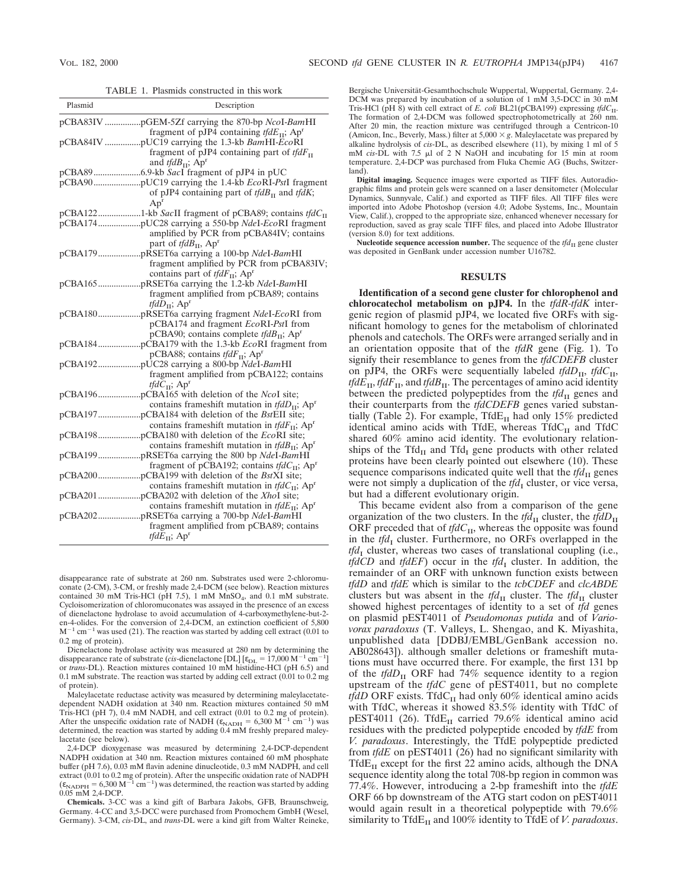TABLE 1. Plasmids constructed in this work

| Plasmid | Description                                                                                            |
|---------|--------------------------------------------------------------------------------------------------------|
|         | fragment of pJP4 containing $tfdE_{\text{II}}$ ; Ap <sup>r</sup>                                       |
|         | fragment of pJP4 containing part of $tfdF_{II}$                                                        |
|         | and <i>tfdB</i> <sub>11</sub> ; $Apr$                                                                  |
|         | of pJP4 containing part of $tfdB_{\text{tr}}$ and $tfdK$ ;<br>Ap <sup>r</sup>                          |
|         | pCBA1221-kb SacII fragment of pCBA89; contains $tfdCII$                                                |
|         | amplified by PCR from pCBA84IV; contains<br>part of <i>tfdB</i> <sub>II</sub> , $Apr$                  |
|         | fragment amplified by PCR from pCBA83IV;<br>contains part of $tfdF_{II}$ ; Ap <sup>r</sup>             |
|         | fragment amplified from pCBA89; contains<br><i>tfdD</i> <sub>11</sub> ; $Apr$                          |
|         | pCBA174 and fragment EcoRI-PstI from<br>pCBA90; contains complete $tfdB_{\text{II}}$ ; Ap <sup>r</sup> |
|         | pCBA88; contains <i>tfdF</i> <sub>II</sub> ; Ap <sup>r</sup>                                           |
|         | fragment amplified from pCBA122; contains<br><i>tfd</i> $C_{\text{II}}$ ; Ap <sup>r</sup>              |
|         | contains frameshift mutation in $tfdD_{\text{II}}$ ; Ap <sup>r</sup>                                   |
|         | contains frameshift mutation in $tfdF_{\text{II}}$ ; Ap <sup>r</sup>                                   |
|         | contains frameshift mutation in $tfdB_{\text{II}}$ ; Ap <sup>r</sup>                                   |
|         | fragment of pCBA192; contains $tfdC_{II}$ ; Ap <sup>r</sup>                                            |
|         | contains frameshift mutation in $tfdC_{II}$ ; Ap <sup>r</sup>                                          |
|         | contains frameshift mutation in $tfdE_{II}$ ; Ap <sup>r</sup>                                          |
|         | fragment amplified from pCBA89; contains<br><i>tfd</i> $E_{\text{II}}$ ; Ap <sup>r</sup>               |

disappearance rate of substrate at 260 nm. Substrates used were 2-chloromuconate (2-CM), 3-CM, or freshly made 2,4-DCM (see below). Reaction mixtures contained 30 mM Tris-HCl (pH 7.5), 1 mM MnSO<sub>4</sub>, and 0.1 mM substrate. Cycloisomerization of chloromuconates was assayed in the presence of an excess of dienelactone hydrolase to avoid accumulation of 4-carboxymethylene-but-2 en-4-olides. For the conversion of 2,4-DCM, an extinction coefficient of 5,800  $\rm M^{-1}$  cm $^{-1}$  was used (21). The reaction was started by adding cell extract (0.01 to 0.2 mg of protein).

Dienelactone hydrolase activity was measured at 280 nm by determining the disappearance rate of substrate (*cis*-dienelactone [DL]  $[\epsilon_{\text{DL}} = 17,000 \text{ M}^{-1} \text{ cm}^{-1}]$ <br>or *trans*-DL). Reaction mixtures contained 10 mM histidine-HCl (pH 6.5) and 0.1 mM substrate. The reaction was started by adding cell extract  $(0.01 \text{ to } 0.2 \text{ mg})$ of protein).

Maleylacetate reductase activity was measured by determining maleylacetatedependent NADH oxidation at 340 nm. Reaction mixtures contained 50 mM Tris-HCl (pH 7), 0.4 mM NADH, and cell extract (0.01 to 0.2 mg of protein).<br>After the unspecific oxidation rate of NADH ( $\varepsilon_{\text{NADH}} = 6,300 \text{ M}^{-1} \text{ cm}^{-1}$ ) was determined, the reaction was started by adding 0.4 mM freshly prepared maleylacetate (see below).

2,4-DCP dioxygenase was measured by determining 2,4-DCP-dependent NADPH oxidation at 340 nm. Reaction mixtures contained 60 mM phosphate buffer (pH 7.6), 0.03 mM flavin adenine dinucleotide, 0.3 mM NADPH, and cell extract (0.01 to 0.2 mg of protein). After the unspecific oxidation rate of NADPH  $(\epsilon_{\text{NADPH}} = 6,300 \text{ M}^{-1} \text{ cm}^{-1})$  was determined, the reaction was started by adding 0.05 mM 2,4-DCP.

**Chemicals.** 3-CC was a kind gift of Barbara Jakobs, GFB, Braunschweig, Germany. 4-CC and 3,5-DCC were purchased from Promochem GmbH (Wesel, Germany). 3-CM, *cis*-DL, and *trans*-DL were a kind gift from Walter Reineke,

Bergische Universität-Gesamthochschule Wuppertal, Wuppertal, Germany. 2,4-<br>DCM was prepared by incubation of a solution of 1 mM 3,5-DCC in 30 mM Tris-HCl (pH 8) with cell extract of *E. coli* BL21(pCBA199) expressing *tfdC*<sub>II</sub>. The formation of 2,4-DCM was followed spectrophotometrically at 260 nm. After 20 min, the reaction mixture was centrifuged through a Centricon-10 (Amicon, Inc., Beverly, Mass.) filter at  $5,000 \times g$ . Maleylacetate was prepared by alkaline hydrolysis of *cis*-DL, as described elsewhere (11), by mixing 1 ml of 5 mM *cis-DL* with 7.5  $\mu$ l of 2 N NaOH and incubating for 15 min at room temperature. 2,4-DCP was purchased from Fluka Chemie AG (Buchs, Switzerland).

**Digital imaging.** Sequence images were exported as TIFF files. Autoradiographic films and protein gels were scanned on a laser densitometer (Molecular Dynamics, Sunnyvale, Calif.) and exported as TIFF files. All TIFF files were imported into Adobe Photoshop (version 4.0; Adobe Systems, Inc., Mountain View, Calif.), cropped to the appropriate size, enhanced whenever necessary for reproduction, saved as gray scale TIFF files, and placed into Adobe Illustrator (version 8.0) for text additions.

**Nucleotide sequence accession number.** The sequence of the  $tfd<sub>H</sub>$  gene cluster was deposited in GenBank under accession number U16782.

## **RESULTS**

**Identification of a second gene cluster for chlorophenol and chlorocatechol metabolism on pJP4.** In the *tfdR-tfdK* intergenic region of plasmid pJP4, we located five ORFs with significant homology to genes for the metabolism of chlorinated phenols and catechols. The ORFs were arranged serially and in an orientation opposite that of the *tfdR* gene (Fig. 1). To signify their resemblance to genes from the *tfdCDEFB* cluster on pJP4, the ORFs were sequentially labeled *tfdD*<sub>II</sub>, *tfdC*<sub>II</sub>, *tfdE*<sub>II</sub>, *tfdF*<sub>II</sub>, and *tfdB*<sub>II</sub>. The percentages of amino acid identity between the predicted polypeptides from the *tfd*<sub>II</sub> genes and their counterparts from the *tfdCDEFB* genes varied substantially (Table 2). For example, Tfd $E_{II}$  had only 15% predicted identical amino acids with TfdE, whereas  $TfdC<sub>II</sub>$  and  $TfdC$ shared 60% amino acid identity. The evolutionary relationships of the Tfd<sub>II</sub> and Tfd<sub>I</sub> gene products with other related proteins have been clearly pointed out elsewhere (10). These sequence comparisons indicated quite well that the  $tfd<sub>II</sub>$  genes were not simply a duplication of the  $tfd<sub>I</sub>$  cluster, or vice versa, but had a different evolutionary origin.

This became evident also from a comparison of the gene organization of the two clusters. In the  $tfd<sub>II</sub>$  cluster, the  $tfd<sub>II</sub>$ ORF preceded that of  $tfdC_{II}$ , whereas the opposite was found in the *tfd*<sub>I</sub> cluster. Furthermore, no ORFs overlapped in the  $tfd<sub>I</sub>$  cluster, whereas two cases of translational coupling (i.e., *tfdCD* and *tfdEF*) occur in the *tfd*<sub>I</sub> cluster. In addition, the remainder of an ORF with unknown function exists between *tfdD* and *tfdE* which is similar to the *tcbCDEF* and *clcABDE* clusters but was absent in the  $tfd<sub>II</sub>$  cluster. The  $tfd<sub>II</sub>$  cluster showed highest percentages of identity to a set of *tfd* genes on plasmid pEST4011 of *Pseudomonas putida* and of *Variovorax paradoxus* (T. Valleys, L. Shengao, and K. Miyashita, unpublished data [DDBJ/EMBL/GenBank accession no. AB028643]). although smaller deletions or frameshift mutations must have occurred there. For example, the first 131 bp of the  $tfdD_{\text{II}}$  ORF had 74% sequence identity to a region upstream of the *tfdC* gene of pEST4011, but no complete *tfdD* ORF exists. TfdC<sub>II</sub> had only 60% identical amino acids with TfdC, whereas it showed 83.5% identity with TfdC of pEST4011 (26). TfdE<sub>II</sub> carried 79.6% identical amino acid residues with the predicted polypeptide encoded by *tfdE* from *V. paradoxus*. Interestingly, the TfdE polypeptide predicted from *tfdE* on pEST4011 (26) had no significant similarity with Tfd $E_{II}$  except for the first 22 amino acids, although the DNA sequence identity along the total 708-bp region in common was 77.4%. However, introducing a 2-bp frameshift into the *tfdE* ORF 66 bp downstream of the ATG start codon on pEST4011 would again result in a theoretical polypeptide with 79.6% similarity to Tfd $E_{II}$  and 100% identity to TfdE of *V. paradoxus*.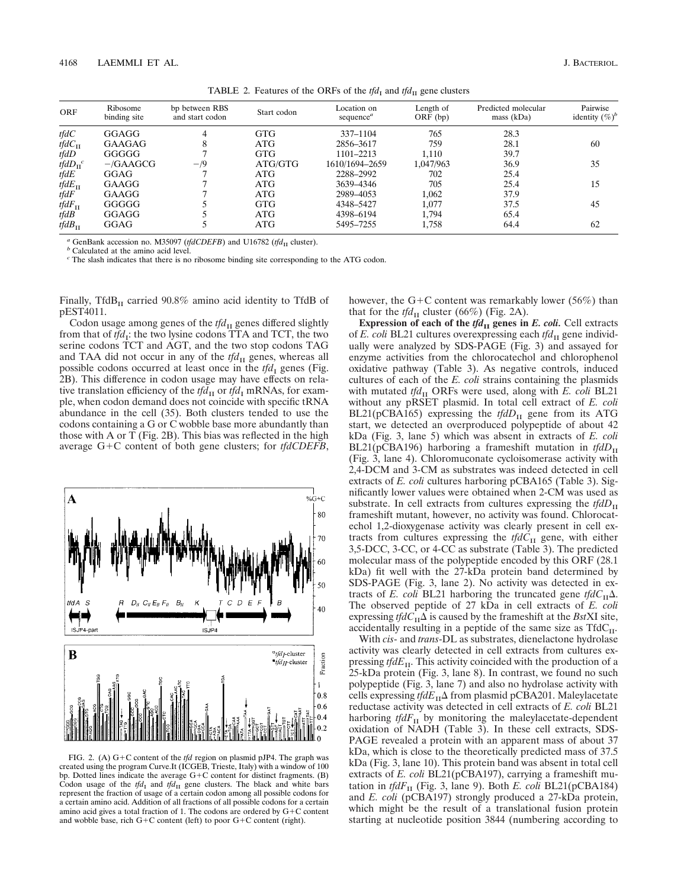TABLE 2. Features of the ORFs of the  $tfd<sub>I</sub>$  and  $tfd<sub>II</sub>$  gene clusters

| <b>ORF</b>         | Ribosome<br>binding site | bp between RBS<br>and start codon | Start codon | Location on<br>sequence <sup><math>a</math></sup> | Length of<br>$ORF$ (bp) | Predicted molecular<br>mass (kDa) | Pairwise<br>identity $(\%)^b$ |
|--------------------|--------------------------|-----------------------------------|-------------|---------------------------------------------------|-------------------------|-----------------------------------|-------------------------------|
| tfdC               | GGAGG                    |                                   | <b>GTG</b>  | $337 - 1104$                                      | 765                     | 28.3                              |                               |
| $tfdC_{\text{II}}$ | <b>GAAGAG</b>            |                                   | ATG         | 2856-3617                                         | 759                     | 28.1                              | 60                            |
| tfdD               | GGGGG                    |                                   | <b>GTG</b>  | 1101-2213                                         | 1.110                   | 39.7                              |                               |
| $tfdD_{\Pi}^{\ c}$ | $-\text{/GAAGCG}$        | $-$ /9                            | ATG/GTG     | 1610/1694-2659                                    | 1,047/963               | 36.9                              | 35                            |
| tfdE               | GGAG                     |                                   | ATG         | 2288-2992                                         | 702                     | 25.4                              |                               |
| $tfdE_{\text{II}}$ | GAAGG                    |                                   | ATG         | 3639-4346                                         | 705                     | 25.4                              | 15                            |
| tfdF               | GAAGG                    |                                   | ATG         | 2989-4053                                         | 1.062                   | 37.9                              |                               |
| tfd $F_{\rm II}$   | GGGGG                    |                                   | <b>GTG</b>  | 4348-5427                                         | 1.077                   | 37.5                              | 45                            |
| tfdB               | GGAGG                    |                                   | ATG         | 4398-6194                                         | 1.794                   | 65.4                              |                               |
| $tfdB_{\text{II}}$ | GGAG                     |                                   | ATG         | 5495-7255                                         | 1,758                   | 64.4                              | 62                            |

*a* GenBank accession no. M35097 (*tfdCDEFB*) and U16782 (*tfd*<sub>II</sub> cluster). *b* Calculated at the amino acid level.

*<sup>c</sup>* The slash indicates that there is no ribosome binding site corresponding to the ATG codon.

Finally, TfdB<sub>II</sub> carried  $90.8\%$  amino acid identity to TfdB of pEST4011.

Codon usage among genes of the  $tfd<sub>II</sub>$  genes differed slightly from that of  $tfd_1$ : the two lysine codons TTA and TCT, the two serine codons TCT and AGT, and the two stop codons TAG and TAA did not occur in any of the *tfd*<sub>II</sub> genes, whereas all possible codons occurred at least once in the  $tfd<sub>I</sub>$  genes (Fig. 2B). This difference in codon usage may have effects on relative translation efficiency of the  $tfd<sub>H</sub>$  or  $tfd<sub>I</sub>$  mRNAs, for example, when codon demand does not coincide with specific tRNA abundance in the cell (35). Both clusters tended to use the codons containing a G or C wobble base more abundantly than those with A or T (Fig. 2B). This bias was reflected in the high average G+C content of both gene clusters; for *tfdCDEFB*,



FIG. 2. (A) G+C content of the *tfd* region on plasmid pJP4. The graph was created using the program Curve.It (ICGEB, Trieste, Italy) with a window of 100 bp. Dotted lines indicate the average  $G+C$  content for distinct fragments. (B) Codon usage of the  $tfd<sub>I</sub>$  and  $tfd<sub>II</sub>$  gene clusters. The black and white bars represent the fraction of usage of a certain codon among all possible codons for a certain amino acid. Addition of all fractions of all possible codons for a certain amino acid gives a total fraction of 1. The codons are ordered by  $G+C$  content and wobble base, rich  $G+C$  content (left) to poor  $G+C$  content (right).

however, the G+C content was remarkably lower (56%) than that for the  $tfd<sub>II</sub>$  cluster (66%) (Fig. 2A).

**Expression of each of the**  $tfd<sub>H</sub>$  **genes in** *E. coli.* **Cell extracts** of *E. coli* BL21 cultures overexpressing each *tfd*<sub>II</sub> gene individually were analyzed by SDS-PAGE (Fig. 3) and assayed for enzyme activities from the chlorocatechol and chlorophenol oxidative pathway (Table 3). As negative controls, induced cultures of each of the *E. coli* strains containing the plasmids with mutated  $tfd<sub>II</sub>$  ORFs were used, along with *E. coli* BL21 without any pRSET plasmid. In total cell extract of *E. coli* BL21(pCBA165) expressing the  $tfdD<sub>II</sub>$  gene from its ATG start, we detected an overproduced polypeptide of about 42 kDa (Fig. 3, lane 5) which was absent in extracts of *E. coli* BL21(pCBA196) harboring a frameshift mutation in  $tfdD_{\text{II}}$ (Fig. 3, lane 4). Chloromuconate cycloisomerase activity with 2,4-DCM and 3-CM as substrates was indeed detected in cell extracts of *E. coli* cultures harboring pCBA165 (Table 3). Significantly lower values were obtained when 2-CM was used as substrate. In cell extracts from cultures expressing the *tfdD*<sub>II</sub> frameshift mutant, however, no activity was found. Chlorocatechol 1,2-dioxygenase activity was clearly present in cell extracts from cultures expressing the  $tfdC<sub>II</sub>$  gene, with either 3,5-DCC, 3-CC, or 4-CC as substrate (Table 3). The predicted molecular mass of the polypeptide encoded by this ORF (28.1 kDa) fit well with the 27-kDa protein band determined by SDS-PAGE (Fig. 3, lane 2). No activity was detected in extracts of *E. coli* BL21 harboring the truncated gene  $tfdC_H\Delta$ . The observed peptide of 27 kDa in cell extracts of *E. coli* expressing *tfd* $C_{\text{II}}\Delta$  is caused by the frameshift at the *Bst*XI site, accidentally resulting in a peptide of the same size as  $Tf dC_{II}$ .

With *cis*- and *trans*-DL as substrates, dienelactone hydrolase activity was clearly detected in cell extracts from cultures expressing *tfdE*<sub>II</sub>. This activity coincided with the production of a 25-kDa protein (Fig. 3, lane 8). In contrast, we found no such polypeptide (Fig. 3, lane 7) and also no hydrolase activity with cells expressing  $tfdE_{\text{II}}\Delta$  from plasmid pCBA201. Maleylacetate reductase activity was detected in cell extracts of *E. coli* BL21 harboring *tfdF*<sub>II</sub> by monitoring the maleylacetate-dependent oxidation of NADH (Table 3). In these cell extracts, SDS-PAGE revealed a protein with an apparent mass of about 37 kDa, which is close to the theoretically predicted mass of 37.5 kDa (Fig. 3, lane 10). This protein band was absent in total cell extracts of *E. coli* BL21(pCBA197), carrying a frameshift mutation in *tfdF*<sub>II</sub> (Fig. 3, lane 9). Both *E. coli* BL21(pCBA184) and *E. coli* (pCBA197) strongly produced a 27-kDa protein, which might be the result of a translational fusion protein starting at nucleotide position 3844 (numbering according to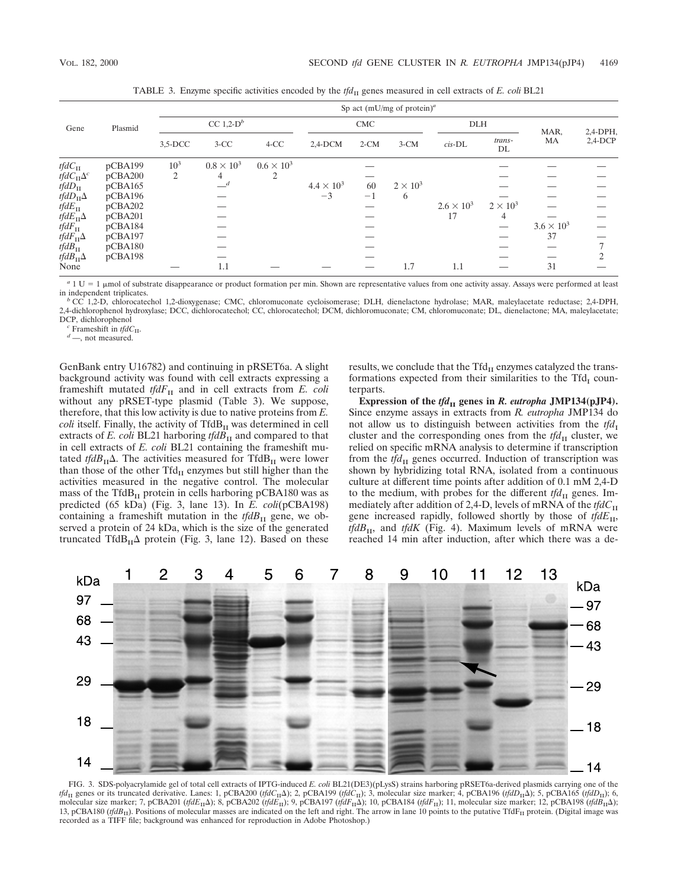|                                    | Plasmid |                          | Sp act (mU/mg of protein) <sup>a</sup> |                   |                     |        |                 |                     |                 |                     |               |
|------------------------------------|---------|--------------------------|----------------------------------------|-------------------|---------------------|--------|-----------------|---------------------|-----------------|---------------------|---------------|
| Gene                               |         | CC $1,2$ -D <sup>b</sup> |                                        | <b>CMC</b>        |                     |        | <b>DLH</b>      |                     | MAR,            | $2,4$ -DPH,         |               |
|                                    |         | $3,5$ -DCC               | $3-CC$                                 | $4-CC$            | $2,4$ -DCM          | $2-CM$ | $3-CM$          | $cis$ - $DL$        | trans-<br>DL    | MA                  | $2,4$ -DCP    |
| $tfdC_{\text{II}}$                 | pCBA199 | $10^{3}$                 | $0.8 \times 10^3$                      | $0.6 \times 10^3$ |                     |        |                 |                     |                 |                     |               |
| tfd $C_{\Pi}\Delta^{c}$            | pCBA200 | 2                        | 4                                      | 2                 |                     |        |                 |                     |                 |                     |               |
| $tfdD_{\text{II}}$                 | pCBA165 |                          | $-$ <sup>d</sup>                       |                   | $4.4 \times 10^{3}$ | 60     | $2 \times 10^3$ |                     |                 |                     |               |
| <i>tfdD</i> <sub>II</sub> $\Delta$ | pCBA196 |                          |                                        |                   | $-3$                | $-1$   | 6               |                     |                 |                     |               |
| $tfdE_{\text{II}}$                 | pCBA202 |                          |                                        |                   |                     |        |                 | $2.6 \times 10^{3}$ | $2 \times 10^3$ |                     |               |
| tfd $E_{\rm II}\Delta$             | pCBA201 |                          |                                        |                   |                     |        |                 | 17                  | 4               |                     |               |
| $tfdF_{\text{II}}$                 | pCBA184 |                          |                                        |                   |                     |        |                 |                     |                 | $3.6 \times 10^{3}$ |               |
| tfd $F_{\text{II}}\Delta$          | pCBA197 |                          |                                        |                   |                     |        |                 |                     |                 | 37                  |               |
| $tfdB_{\text{II}}$                 | pCBA180 |                          |                                        |                   |                     |        |                 |                     |                 |                     |               |
| tfd $B_{\text{II}}\Delta$          | pCBA198 |                          |                                        |                   |                     |        |                 |                     |                 |                     | $\mathcal{D}$ |
| None                               |         |                          | 1.1                                    |                   |                     |        | 1.7             | 1.1                 |                 | 31                  |               |

TABLE 3. Enzyme specific activities encoded by the *tfd*<sub>II</sub> genes measured in cell extracts of *E. coli* BL21

<sup>a</sup> 1 U = 1 µmol of substrate disappearance or product formation per min. Shown are representative values from one activity assay. Assays were performed at least in independent triplicates.<br><sup>*b*</sup> CC 1,2-D, chlorocatechol 1,2-dioxygenase; CMC, chloromuconate cycloisomerase; DLH, dienelactone hydrolase; MAR, maleylacetate reductase; 2,4-DPH,

2,4-dichlorophenol hydroxylase; DCC, dichlorocatechol; CC, chlorocatechol; DCM, dichloromuconate; CM, chloromuconate; DL, dienelactone; MA, maleylacetate;

 $\int_a^c$  Frameshift in *tfdC*<sub>II</sub>. *d* —, not measured.

GenBank entry U16782) and continuing in pRSET6a. A slight background activity was found with cell extracts expressing a frameshift mutated *tfdF*<sub>II</sub> and in cell extracts from *E. coli* without any pRSET-type plasmid (Table 3). We suppose, therefore, that this low activity is due to native proteins from *E. coli* itself. Finally, the activity of TfdB<sub>II</sub> was determined in cell extracts of  $E$ . coli BL21 harboring  $tfdB$ <sub>II</sub> and compared to that in cell extracts of *E. coli* BL21 containing the frameshift mutated *tfdB*<sub>II</sub> $\Delta$ . The activities measured for TfdB<sub>II</sub> were lower than those of the other  $Tfd<sub>II</sub>$  enzymes but still higher than the activities measured in the negative control. The molecular mass of the Tfd $B<sub>II</sub>$  protein in cells harboring pCBA180 was as predicted (65 kDa) (Fig. 3, lane 13). In *E. coli*(pCBA198) containing a frameshift mutation in the  $tfdB_{II}$  gene, we observed a protein of 24 kDa, which is the size of the generated truncated TfdB<sub>II</sub> $\Delta$  protein (Fig. 3, lane 12). Based on these results, we conclude that the  $Tfd<sub>II</sub>$  enzymes catalyzed the transformations expected from their similarities to the  $Tfd<sub>I</sub>$  counterparts.

**Expression of the**  $tfd<sub>II</sub>$  **genes in** *R. eutropha* **JMP134(pJP4).** Since enzyme assays in extracts from *R. eutropha* JMP134 do not allow us to distinguish between activities from the *tfd*<sub>I</sub> cluster and the corresponding ones from the  $tfd<sub>II</sub>$  cluster, we relied on specific mRNA analysis to determine if transcription from the *tfd*<sub>II</sub> genes occurred. Induction of transcription was shown by hybridizing total RNA, isolated from a continuous culture at different time points after addition of 0.1 mM 2,4-D to the medium, with probes for the different  $tfd<sub>II</sub>$  genes. Immediately after addition of 2,4-D, levels of mRNA of the *tfdC*<sub>II</sub> gene increased rapidly, followed shortly by those of *tfdE*<sub>II</sub>, *tfdB*<sub>II</sub>, and *tfdK* (Fig. 4). Maximum levels of mRNA were reached 14 min after induction, after which there was a de-



FIG. 3. SDS-polyacrylamide gel of total cell extracts of IPTG-induced *E. coli* BL21(DE3)(pLysS) strains harboring pRSET6a-derived plasmids carrying one of the *tfd*<sub>II</sub> genes or its truncated derivative. Lanes: 1, pCBA200 (*tfdC*<sub>II</sub>Δ); 2, pCBA199 (*tfdC*<sub>II</sub>); 3, molecular size marker; 4, pCBA196 (*tfdD*<sub>II</sub>Δ); 5, pCBA165 (*tfdD*<sub>II</sub>); 6, molecular size marker; 7, pCBA201 (*tfdE*<sub>II</sub>Δ); 8, pCBA202 (*tfdE*<sub>II</sub>); 9, pCBA197 (*tfdF*<sub>II</sub>Δ); 10, pCBA184 (*tfdF*<sub>II</sub>); 11, molecular size marker; 12, pCBA198 (*tfdB*<sub>II</sub>Δ); 13, pCBA180 ( $tfdB$ <sub>II</sub>). Positions of molecular masses are indicated on the left and right. The arrow in lane 10 points to the putative TfdF<sub>II</sub> protein. (Digital image was recorded as a TIFF file; background was enhanced for reproduction in Adobe Photoshop.)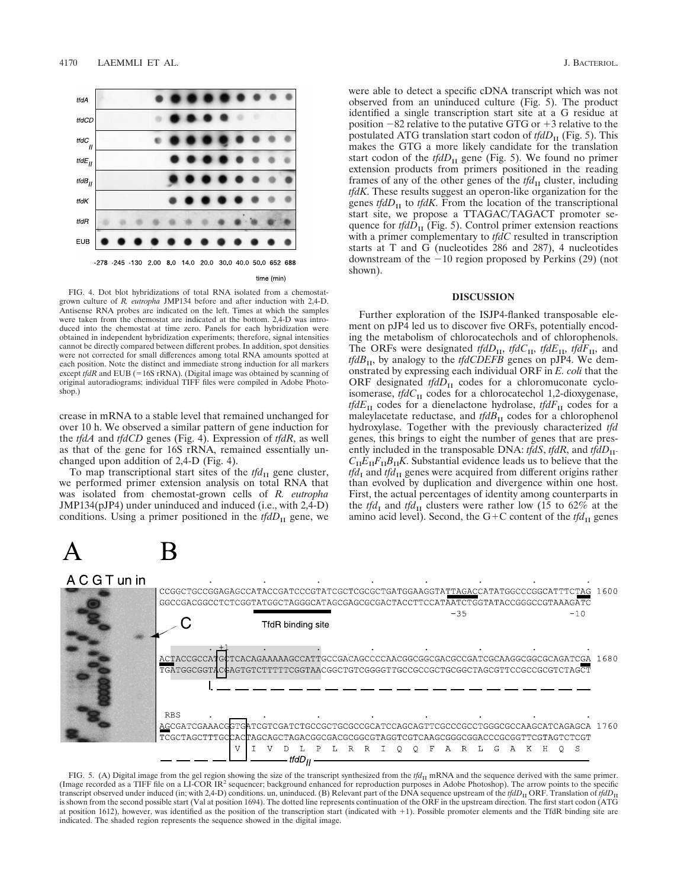

FIG. 4. Dot blot hybridizations of total RNA isolated from a chemostatgrown culture of *R. eutropha* JMP134 before and after induction with 2,4-D. Antisense RNA probes are indicated on the left. Times at which the samples were taken from the chemostat are indicated at the bottom. 2,4-D was introduced into the chemostat at time zero. Panels for each hybridization were obtained in independent hybridization experiments; therefore, signal intensities cannot be directly compared between different probes. In addition, spot densities were not corrected for small differences among total RNA amounts spotted at each position. Note the distinct and immediate strong induction for all markers except  $tfdR$  and EUB (=16S rRNA). (Digital image was obtained by scanning of original autoradiograms; individual TIFF files were compiled in Adobe Photoshop.)

crease in mRNA to a stable level that remained unchanged for over 10 h. We observed a similar pattern of gene induction for the *tfdA* and *tfdCD* genes (Fig. 4). Expression of *tfdR*, as well as that of the gene for 16S rRNA, remained essentially unchanged upon addition of 2,4-D (Fig. 4).

To map transcriptional start sites of the  $tfd<sub>II</sub>$  gene cluster, we performed primer extension analysis on total RNA that was isolated from chemostat-grown cells of *R. eutropha* JMP134(pJP4) under uninduced and induced (i.e., with 2,4-D) conditions. Using a primer positioned in the  $tfdD<sub>H</sub>$  gene, we

were able to detect a specific cDNA transcript which was not observed from an uninduced culture (Fig. 5). The product identified a single transcription start site at a G residue at position  $-82$  relative to the putative GTG or  $+3$  relative to the postulated ATG translation start codon of *tfdD*<sub>II</sub> (Fig. 5). This makes the GTG a more likely candidate for the translation start codon of the  $tfdD_{\text{II}}$  gene (Fig. 5). We found no primer extension products from primers positioned in the reading frames of any of the other genes of the  $tfd<sub>H</sub>$  cluster, including *tfdK*. These results suggest an operon-like organization for the genes *tfdD* $_{II}$  to *tfdK*. From the location of the transcriptional start site, we propose a TTAGAC/TAGACT promoter sequence for  $tfdD_{\text{II}}$  (Fig. 5). Control primer extension reactions with a primer complementary to *tfdC* resulted in transcription starts at T and G (nucleotides 286 and 287), 4 nucleotides downstream of the  $-10$  region proposed by Perkins (29) (not shown).

# **DISCUSSION**

Further exploration of the ISJP4-flanked transposable element on pJP4 led us to discover five ORFs, potentially encoding the metabolism of chlorocatechols and of chlorophenols. The ORFs were designated *tfdD*<sub>II</sub>, *tfdC*<sub>II</sub>, *tfdE*<sub>II</sub>, *tfdF*<sub>II</sub>, and *tfdB*<sub>II</sub>, by analogy to the *tfdCDEFB* genes on pJP4. We demonstrated by expressing each individual ORF in *E. coli* that the ORF designated  $tfdD_{II}$  codes for a chloromuconate cycloisomerase, *tfdC*<sub>II</sub> codes for a chlorocatechol 1,2-dioxygenase, *tfdE*II codes for a dienelactone hydrolase, *tfdF*II codes for a maleylacetate reductase, and *tfdB*<sub>II</sub> codes for a chlorophenol hydroxylase. Together with the previously characterized *tfd* genes, this brings to eight the number of genes that are presently included in the transposable DNA: *tfdS*, *tfdR*, and *tfdD*<sub>II</sub>- $C_{\text{II}}E_{\text{II}}F_{\text{II}}B_{\text{II}}K$ . Substantial evidence leads us to believe that the  $tfd<sub>I</sub>$  and  $tfd<sub>II</sub>$  genes were acquired from different origins rather than evolved by duplication and divergence within one host. First, the actual percentages of identity among counterparts in the *tfd*<sub>I</sub> and *tfd*<sub>II</sub> clusters were rather low (15 to 62% at the amino acid level). Second, the G+C content of the  $tfd<sub>II</sub>$  genes



FIG. 5. (A) Digital image from the gel region showing the size of the transcript synthesized from the  $tfd$ <sub>II</sub> mRNA and the sequence derived with the same primer. (Image recorded as a TIFF file on a LI-COR IR<sup>2</sup> sequencer; background enhanced for reproduction purposes in Adobe Photoshop). The arrow points to the specific transcript observed under induced (in; with 2,4-D) conditions. un, uninduced. (B) Relevant part of the DNA sequence upstream of the  $tfdD<sub>II</sub>$  ORF. Translation of  $tfdD<sub>II</sub>$ is shown from the second possible start (Val at position 1694). The dotted line represents continuation of the ORF in the upstream direction. The first start codon (ATG at position 1612), however, was identified as the position of the transcription start (indicated with 11). Possible promoter elements and the TfdR binding site are indicated. The shaded region represents the sequence showed in the digital image.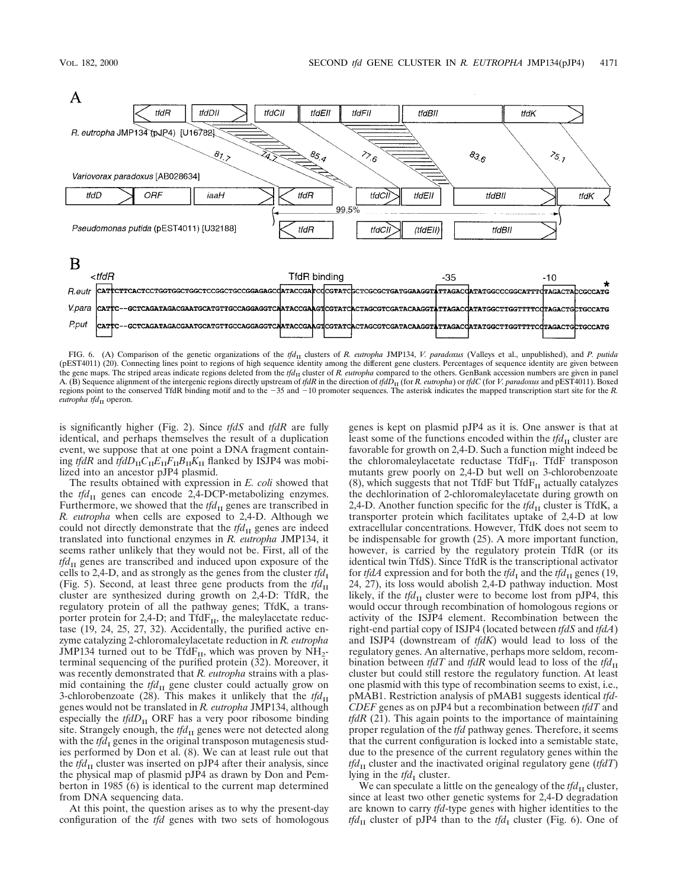

FIG. 6. (A) Comparison of the genetic organizations of the *tfd*<sub>II</sub> clusters of *R. eutropha* JMP134, *V. paradoxus* (Valleys et al., unpublished), and *P. putida* (pEST4011) (20). Connecting lines point to regions of high sequence identity among the different gene clusters. Percentages of sequence identity are given between the gene maps. The striped areas indicate regions deleted from the *tfd*<sub>II</sub> cluster of *R. eutropha* compared to the others. GenBank accession numbers are given in panel A. (B) Sequence alignment of the intergenic regions directly upstream of *tfdR* in the direction of *tfdD*<sub>II</sub> (for *R. eutropha*) or *tfdC* (for *V. paradoxus* and pEST4011). Boxed regions point to the conserved TfdR binding motif and to the -35 and -10 promoter sequences. The asterisk indicates the mapped transcription start site for the *R*.  $eutron$ *tfd*<sub>II</sub> operon.

is significantly higher (Fig. 2). Since *tfdS* and *tfdR* are fully identical, and perhaps themselves the result of a duplication event, we suppose that at one point a DNA fragment containing *tfdR* and *tfdD*<sub>II</sub> $C_{II}E_{II}F_{II}B_{II}K_{II}$  flanked by ISJP4 was mobilized into an ancestor pJP4 plasmid.

The results obtained with expression in *E. coli* showed that the *tfd*<sub>II</sub> genes can encode 2,4-DCP-metabolizing enzymes. Furthermore, we showed that the *tfd*<sub>II</sub> genes are transcribed in *R. eutropha* when cells are exposed to 2,4-D. Although we could not directly demonstrate that the *tfd*<sub>II</sub> genes are indeed translated into functional enzymes in *R. eutropha* JMP134, it seems rather unlikely that they would not be. First, all of the *tfd*<sub>II</sub> genes are transcribed and induced upon exposure of the cells to 2,4-D, and as strongly as the genes from the cluster  $tfd<sub>I</sub>$ (Fig. 5). Second, at least three gene products from the  $tfd<sub>II</sub>$ cluster are synthesized during growth on 2,4-D: TfdR, the regulatory protein of all the pathway genes; TfdK, a transporter protein for 2,4-D; and Tfd $F_{II}$ , the maleylacetate reductase (19, 24, 25, 27, 32). Accidentally, the purified active enzyme catalyzing 2-chloromaleylacetate reduction in *R. eutropha* JMP134 turned out to be Tfd $F_{II}$ , which was proven by  $NH_2$ terminal sequencing of the purified protein (32). Moreover, it was recently demonstrated that *R. eutropha* strains with a plasmid containing the  $tfd<sub>II</sub>$  gene cluster could actually grow on 3-chlorobenzoate (28). This makes it unlikely that the  $tfd<sub>II</sub>$ genes would not be translated in *R. eutropha* JMP134, although especially the  $tfdD_{\text{II}}$  ORF has a very poor ribosome binding site. Strangely enough, the *tfd*<sub>II</sub> genes were not detected along with the  $tfd<sub>I</sub>$  genes in the original transposon mutagenesis studies performed by Don et al. (8). We can at least rule out that the  $tfd<sub>II</sub>$  cluster was inserted on pJP4 after their analysis, since the physical map of plasmid pJP4 as drawn by Don and Pemberton in 1985 (6) is identical to the current map determined from DNA sequencing data.

At this point, the question arises as to why the present-day configuration of the *tfd* genes with two sets of homologous genes is kept on plasmid pJP4 as it is. One answer is that at least some of the functions encoded within the  $tfd<sub>H</sub>$  cluster are favorable for growth on 2,4-D. Such a function might indeed be the chloromaleylacetate reductase Tfd $F_{II}$ . TfdF transposon mutants grew poorly on 2,4-D but well on 3-chlorobenzoate (8), which suggests that not TfdF but  $TfdF<sub>II</sub>$  actually catalyzes the dechlorination of 2-chloromaleylacetate during growth on 2,4-D. Another function specific for the  $tfd<sub>H</sub>$  cluster is TfdK, a transporter protein which facilitates uptake of 2,4-D at low extracellular concentrations. However, TfdK does not seem to be indispensable for growth (25). A more important function, however, is carried by the regulatory protein TfdR (or its identical twin TfdS). Since TfdR is the transcriptional activator for *tfdA* expression and for both the *tfd*<sub>I</sub> and the *tfd*<sub>II</sub> genes (19, 24, 27), its loss would abolish 2,4-D pathway induction. Most likely, if the  $tfd<sub>II</sub>$  cluster were to become lost from pJP4, this would occur through recombination of homologous regions or activity of the ISJP4 element. Recombination between the right-end partial copy of ISJP4 (located between *tfdS* and *tfdA*) and ISJP4 (downstream of *tfdK*) would lead to loss of the regulatory genes. An alternative, perhaps more seldom, recombination between *tfdT* and *tfdR* would lead to loss of the *tfd*<sub>II</sub> cluster but could still restore the regulatory function. At least one plasmid with this type of recombination seems to exist, i.e., pMAB1. Restriction analysis of pMAB1 suggests identical *tfd-CDEF* genes as on pJP4 but a recombination between *tfdT* and *tfdR* (21). This again points to the importance of maintaining proper regulation of the *tfd* pathway genes. Therefore, it seems that the current configuration is locked into a semistable state, due to the presence of the current regulatory genes within the *tfd*<sub>II</sub> cluster and the inactivated original regulatory gene (*tfdT*) lying in the *tfd*<sub>I</sub> cluster.

We can speculate a little on the genealogy of the  $tfd<sub>H</sub>$  cluster, since at least two other genetic systems for 2,4-D degradation are known to carry *tfd*-type genes with higher identities to the *tfd*<sub>II</sub> cluster of pJP4 than to the *tfd*<sub>I</sub> cluster (Fig. 6). One of